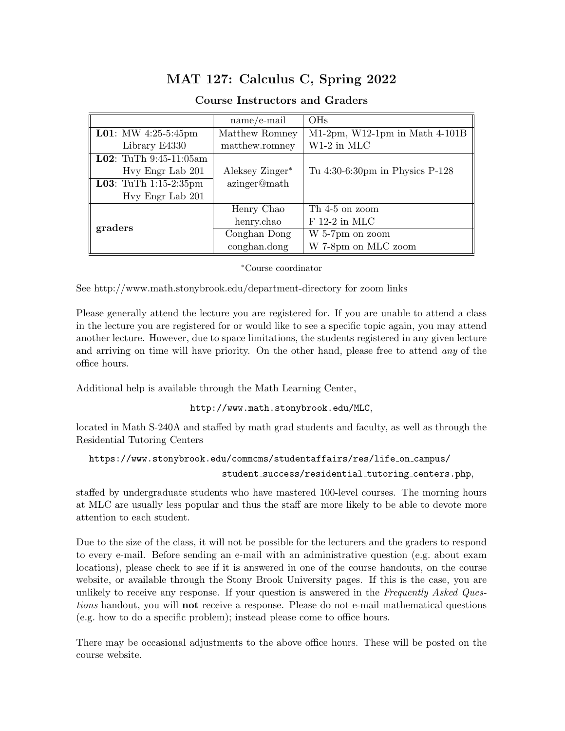## MAT 127: Calculus C, Spring 2022

## Course Instructors and Graders

|                                  | $name/e-mail$   | <b>OHs</b>                        |
|----------------------------------|-----------------|-----------------------------------|
| <b>L01</b> : MW 4:25-5:45pm      | Matthew Romney  | $M1-2pm$ , W12-1pm in Math 4-101B |
| Library E4330                    | matthew.romney  | $W1-2$ in MLC                     |
| <b>L02</b> : TuTh $9:45-11:05am$ |                 |                                   |
| Hvy Engr Lab 201                 | Aleksey Zinger* | Tu 4:30-6:30pm in Physics P-128   |
| <b>L03</b> : TuTh $1:15-2:35$ pm | azinger@math    |                                   |
| Hvy Engr Lab 201                 |                 |                                   |
|                                  | Henry Chao      | Th 4-5 on zoom                    |
| graders                          | henry.chao      | $F$ 12-2 in MLC                   |
|                                  | Conghan Dong    | W 5-7pm on zoom                   |
|                                  | conghan.dong    | W 7-8pm on MLC zoom               |

## <sup>∗</sup>Course coordinator

See http://www.math.stonybrook.edu/department-directory for zoom links

Please generally attend the lecture you are registered for. If you are unable to attend a class in the lecture you are registered for or would like to see a specific topic again, you may attend another lecture. However, due to space limitations, the students registered in any given lecture and arriving on time will have priority. On the other hand, please free to attend any of the office hours.

Additional help is available through the Math Learning Center,

http://www.math.stonybrook.edu/MLC,

located in Math S-240A and staffed by math grad students and faculty, as well as through the Residential Tutoring Centers

```
https://www.stonybrook.edu/commcms/studentaffairs/res/life on campus/
```
student success/residential tutoring centers.php,

staffed by undergraduate students who have mastered 100-level courses. The morning hours at MLC are usually less popular and thus the staff are more likely to be able to devote more attention to each student.

Due to the size of the class, it will not be possible for the lecturers and the graders to respond to every e-mail. Before sending an e-mail with an administrative question (e.g. about exam locations), please check to see if it is answered in one of the course handouts, on the course website, or available through the Stony Brook University pages. If this is the case, you are unlikely to receive any response. If your question is answered in the Frequently Asked Questions handout, you will **not** receive a response. Please do not e-mail mathematical questions (e.g. how to do a specific problem); instead please come to office hours.

There may be occasional adjustments to the above office hours. These will be posted on the course website.